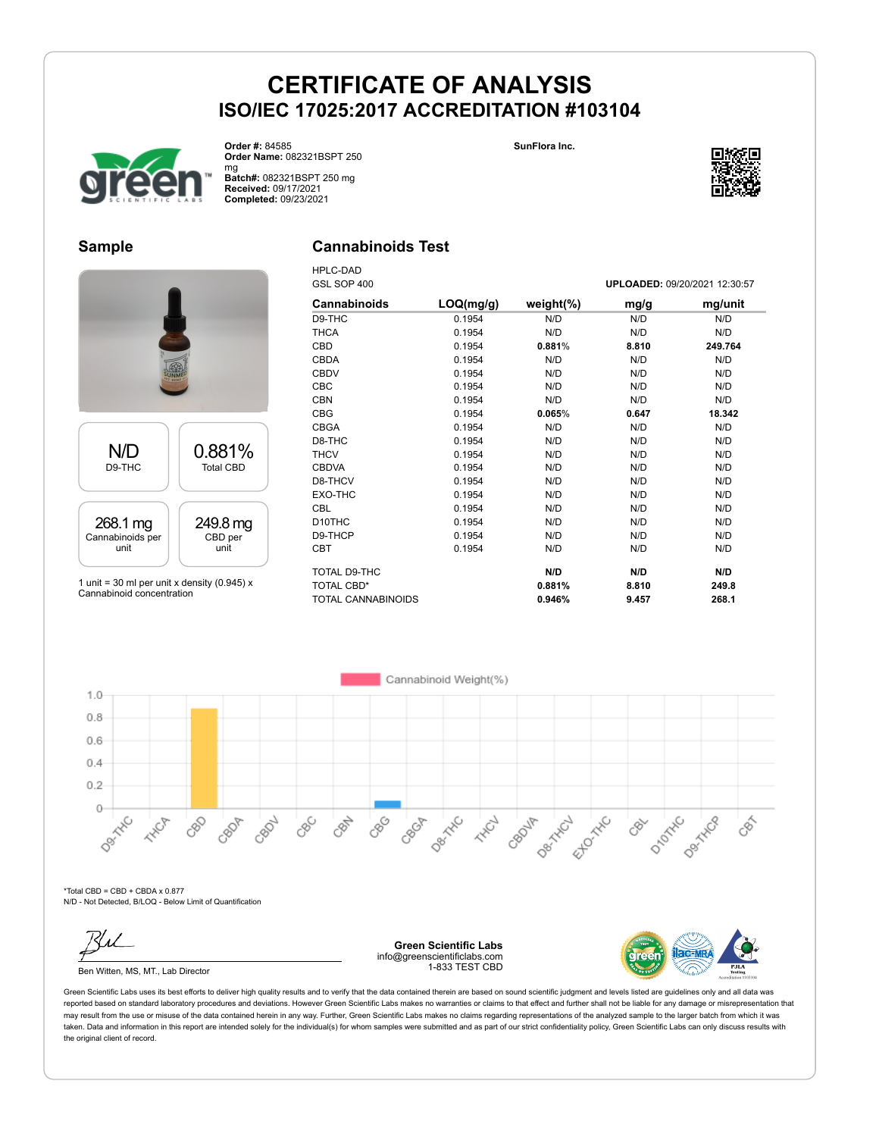**SunFlora Inc.**



**Order #:** 84585 **Order Name:** 082321BSPT 250 mg

**Batch#:** 082321BSPT 250 mg **Received:** 09/17/2021 **Completed:** 09/23/2021

HPLC-DAD

## **Sample**

# **Cannabinoids Test**



1 unit = 30 ml per unit x density (0.945)  $x$ Cannabinoid concentration

| GSL SOP 400        |           |               |       | UPLOADED: 09/20/2021 12:30:57 |
|--------------------|-----------|---------------|-------|-------------------------------|
| Cannabinoids       | LOQ(mg/g) | weight $(\%)$ | mg/g  | mg/unit                       |
| D9-THC             | 0.1954    | N/D           | N/D   | N/D                           |
| THCA               | 0.1954    | N/D           | N/D   | N/D                           |
| CBD                | 0.1954    | 0.881%        | 8.810 | 249.764                       |
| <b>CBDA</b>        | 0.1954    | N/D           | N/D   | N/D                           |
| <b>CBDV</b>        | 0.1954    | N/D           | N/D   | N/D                           |
| CBC                | 0.1954    | N/D           | N/D   | N/D                           |
| <b>CBN</b>         | 0.1954    | N/D           | N/D   | N/D                           |
| <b>CBG</b>         | 0.1954    | 0.065%        | 0.647 | 18.342                        |
| <b>CBGA</b>        | 0.1954    | N/D           | N/D   | N/D                           |
| D8-THC             | 0.1954    | N/D           | N/D   | N/D                           |
| <b>THCV</b>        | 0.1954    | N/D           | N/D   | N/D                           |
| <b>CBDVA</b>       | 0.1954    | N/D           | N/D   | N/D                           |
| D8-THCV            | 0.1954    | N/D           | N/D   | N/D                           |
| EXO-THC            | 0.1954    | N/D           | N/D   | N/D                           |
| <b>CBL</b>         | 0.1954    | N/D           | N/D   | N/D                           |
| D10THC             | 0.1954    | N/D           | N/D   | N/D                           |
| D9-THCP            | 0.1954    | N/D           | N/D   | N/D                           |
| CBT                | 0.1954    | N/D           | N/D   | N/D                           |
| TOTAL D9-THC       |           | N/D           | N/D   | N/D                           |
| TOTAL CBD*         |           | 0.881%        | 8.810 | 249.8                         |
| TOTAL CANNABINOIDS |           | 0.946%        | 9.457 | 268.1                         |



 $*$ Total CBD = CBD + CBDA x 0.877 N/D - Not Detected, B/LOQ - Below Limit of Quantification

Ben Witten, MS, MT., Lab Director

**Green Scientific Labs** info@greenscientificlabs.com 1-833 TEST CBD



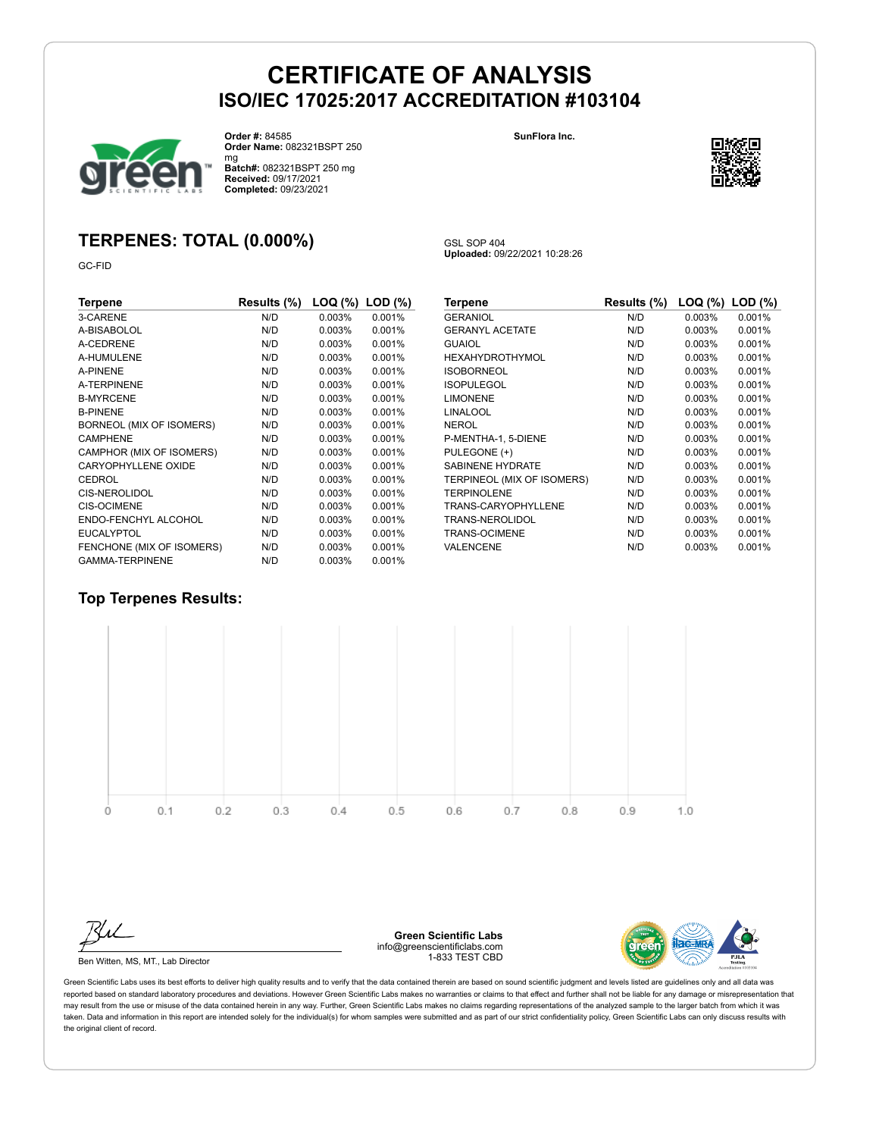GSL SOP 404

**Uploaded:** 09/22/2021 10:28:26

**SunFlora Inc.**



**Order #:** 84585

**Order Name:** 082321BSPT 250

mg **Batch#:** 082321BSPT 250 mg

# **TERPENES: TOTAL (0.000%)**

GC-FID

| Terpene                   | Results (%) | LOQ (%) | $LOD$ $(\%)$ |
|---------------------------|-------------|---------|--------------|
| 3-CARENE                  | N/D         | 0.003%  | 0.001%       |
| A-BISABOLOL               | N/D         | 0.003%  | 0.001%       |
| A-CEDRENE                 | N/D         | 0.003%  | 0.001%       |
| A-HUMULENE                | N/D         | 0.003%  | 0.001%       |
| A-PINENE                  | N/D         | 0.003%  | 0.001%       |
| A-TERPINENE               | N/D         | 0.003%  | 0.001%       |
| <b>B-MYRCENE</b>          | N/D         | 0.003%  | 0.001%       |
| <b>B-PINENE</b>           | N/D         | 0.003%  | 0.001%       |
| BORNEOL (MIX OF ISOMERS)  | N/D         | 0.003%  | 0.001%       |
| <b>CAMPHENE</b>           | N/D         | 0.003%  | 0.001%       |
| CAMPHOR (MIX OF ISOMERS)  | N/D         | 0.003%  | 0.001%       |
| CARYOPHYLLENE OXIDE       | N/D         | 0.003%  | 0.001%       |
| <b>CEDROL</b>             | N/D         | 0.003%  | 0.001%       |
| <b>CIS-NEROLIDOL</b>      | N/D         | 0.003%  | 0.001%       |
| <b>CIS-OCIMENE</b>        | N/D         | 0.003%  | 0.001%       |
| ENDO-FENCHYL ALCOHOL      | N/D         | 0.003%  | 0.001%       |
| <b>EUCALYPTOL</b>         | N/D         | 0.003%  | 0.001%       |
| FENCHONE (MIX OF ISOMERS) | N/D         | 0.003%  | 0.001%       |
| <b>GAMMA-TERPINENE</b>    | N/D         | 0.003%  | 0.001%       |

| Terpene                    | Results (%) | LOQ (%) | $LOD$ $(\%)$ |
|----------------------------|-------------|---------|--------------|
| <b>GERANIOL</b>            | N/D         | 0.003%  | 0.001%       |
| <b>GERANYL ACETATE</b>     | N/D         | 0.003%  | 0.001%       |
| <b>GUAIOL</b>              | N/D         | 0.003%  | 0.001%       |
| <b>HEXAHYDROTHYMOL</b>     | N/D         | 0.003%  | 0.001%       |
| <b>ISOBORNEOL</b>          | N/D         | 0.003%  | 0.001%       |
| <b>ISOPULEGOL</b>          | N/D         | 0.003%  | 0.001%       |
| <b>LIMONENE</b>            | N/D         | 0.003%  | 0.001%       |
| <b>LINALOOL</b>            | N/D         | 0.003%  | 0.001%       |
| <b>NEROL</b>               | N/D         | 0.003%  | 0.001%       |
| P-MENTHA-1, 5-DIENE        | N/D         | 0.003%  | 0.001%       |
| PULEGONE (+)               | N/D         | 0.003%  | 0.001%       |
| <b>SABINENE HYDRATE</b>    | N/D         | 0.003%  | 0.001%       |
| TERPINEOL (MIX OF ISOMERS) | N/D         | 0.003%  | 0.001%       |
| <b>TERPINOLENE</b>         | N/D         | 0.003%  | 0.001%       |
| TRANS-CARYOPHYLLENE        | N/D         | 0.003%  | 0.001%       |
| TRANS-NEROLIDOL            | N/D         | 0.003%  | 0.001%       |
| <b>TRANS-OCIMENE</b>       | N/D         | 0.003%  | 0.001%       |
| <b>VALENCENE</b>           | N/D         | 0.003%  | 0.001%       |

#### **Top Terpenes Results:**



Ben Witten, MS, MT., Lab Director

**Green Scientific Labs** info@greenscientificlabs.com 1-833 TEST CBD



Green Scientific Labs uses its best efforts to deliver high quality results and to verify that the data contained therein are based on sound scientific judgment and levels listed are guidelines only and all data was reported based on standard laboratory procedures and deviations. However Green Scientific Labs makes no warranties or claims to that effect and further shall not be liable for any damage or misrepresentation that may result from the use or misuse of the data contained herein in any way. Further, Green Scientific Labs makes no claims regarding representations of the analyzed sample to the larger batch from which it was taken. Data and information in this report are intended solely for the individual(s) for whom samples were submitted and as part of our strict confidentiality policy, Green Scientific Labs can only discuss results with the original client of record.



**Received:** 09/17/2021 **Completed:** 09/23/2021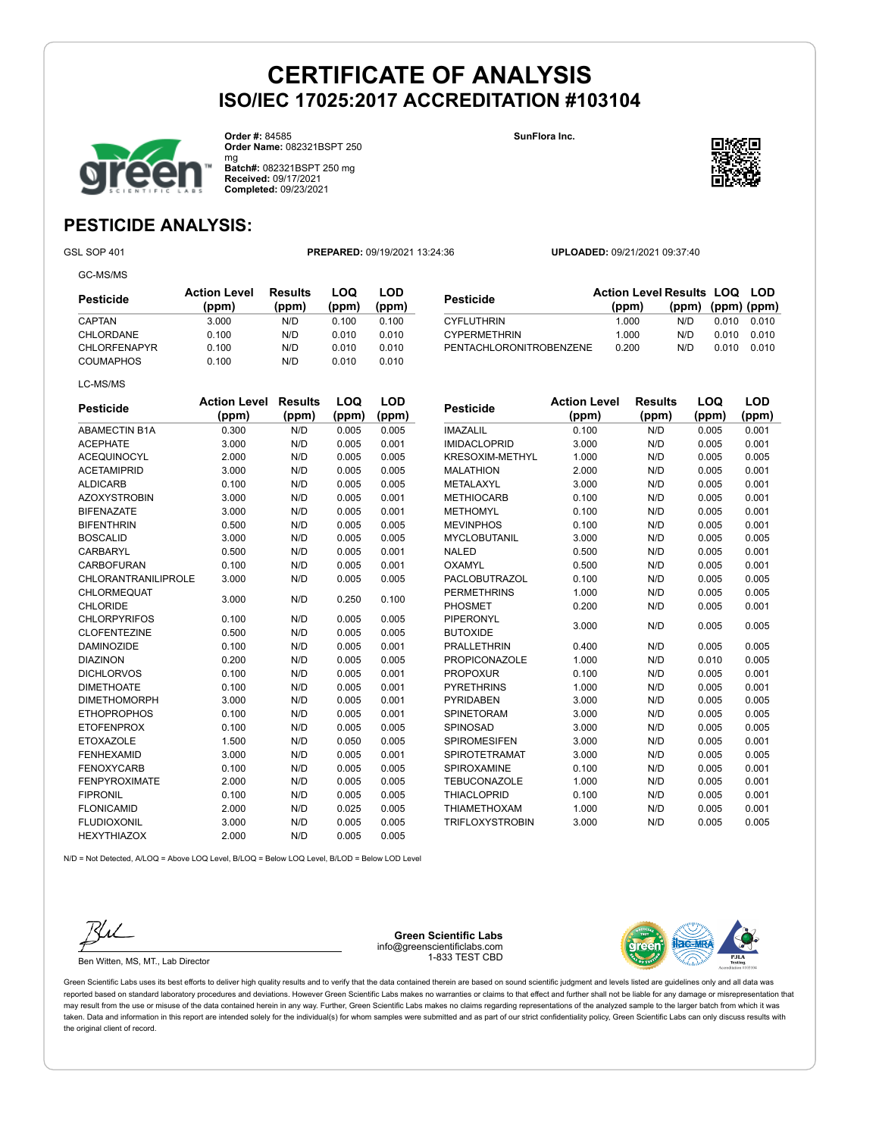

**Order #:** 84585 **Order Name:** 082321BSPT 250 **SunFlora Inc.**



mg **Batch#:** 082321BSPT 250 mg **Received:** 09/17/2021 **Completed:** 09/23/2021

# **PESTICIDE ANALYSIS:**

GC-MS/MS

GSL SOP 401 **PREPARED:** 09/19/2021 13:24:36 **UPLOADED:** 09/21/2021 09:37:40

| Pesticide           | <b>Action Level</b><br>(ppm) | Results<br>(ppm) | LOQ<br>(ppm) | LOD<br>(ppm) |
|---------------------|------------------------------|------------------|--------------|--------------|
| CAPTAN              | 3.000                        | N/D              | 0.100        | 0.100        |
| CHLORDANE           | 0.100                        | N/D              | 0.010        | 0.010        |
| <b>CHLORFENAPYR</b> | 0.100                        | N/D              | 0.010        | 0.010        |
| <b>COUMAPHOS</b>    | 0.100                        | N/D              | 0.010        | 0.010        |
| LC-MS/MS            |                              |                  |              |              |

| Pesticide               | <b>Action Level Results LOQ LOD</b> |                         |       |           |
|-------------------------|-------------------------------------|-------------------------|-------|-----------|
|                         | (ppm)                               | $(ppm)$ $(ppm)$ $(ppm)$ |       |           |
| <b>CYFLUTHRIN</b>       | 1.000                               | N/D.                    | 0.010 | 0.010     |
| <b>CYPERMETHRIN</b>     | 1.000                               | N/D.                    | 0.010 | _ ი ი 1 ი |
| PENTACHLORONITROBENZENE | 0.200                               | N/D                     | 0.010 |           |

| <b>Pesticide</b>           | <b>Action Level</b> | <b>Results</b> | LOQ   | LOD   |
|----------------------------|---------------------|----------------|-------|-------|
|                            | (ppm)               | (ppm)          | (ppm) | (ppm) |
| <b>ABAMECTIN B1A</b>       | 0.300               | N/D            | 0.005 | 0.005 |
| <b>ACEPHATE</b>            | 3.000               | N/D            | 0.005 | 0.001 |
| <b>ACEQUINOCYL</b>         | 2.000               | N/D            | 0.005 | 0.005 |
| <b>ACETAMIPRID</b>         | 3.000               | N/D            | 0.005 | 0.005 |
| <b>ALDICARB</b>            | 0.100               | N/D            | 0.005 | 0.005 |
| <b>AZOXYSTROBIN</b>        | 3.000               | N/D            | 0.005 | 0.001 |
| <b>BIFENAZATE</b>          | 3.000               | N/D            | 0.005 | 0.001 |
| <b>BIFENTHRIN</b>          | 0.500               | N/D            | 0.005 | 0.005 |
| <b>BOSCALID</b>            | 3.000               | N/D            | 0.005 | 0.005 |
| <b>CARBARYL</b>            | 0.500               | N/D            | 0.005 | 0.001 |
| CARBOFURAN                 | 0.100               | N/D            | 0.005 | 0.001 |
| <b>CHLORANTRANILIPROLE</b> | 3.000               | N/D            | 0.005 | 0.005 |
| <b>CHLORMEQUAT</b>         | 3.000               | N/D            | 0.250 | 0.100 |
| <b>CHLORIDE</b>            |                     |                |       |       |
| <b>CHLORPYRIFOS</b>        | 0.100               | N/D            | 0.005 | 0.005 |
| <b>CLOFENTEZINE</b>        | 0.500               | N/D            | 0.005 | 0.005 |
| <b>DAMINOZIDE</b>          | 0.100               | N/D            | 0.005 | 0.001 |
| <b>DIAZINON</b>            | 0.200               | N/D            | 0.005 | 0.005 |
| <b>DICHLORVOS</b>          | 0.100               | N/D            | 0.005 | 0.001 |
| <b>DIMETHOATE</b>          | 0.100               | N/D            | 0.005 | 0.001 |
| <b>DIMETHOMORPH</b>        | 3.000               | N/D            | 0.005 | 0.001 |
| <b>ETHOPROPHOS</b>         | 0.100               | N/D            | 0.005 | 0.001 |
| <b>ETOFENPROX</b>          | 0.100               | N/D            | 0.005 | 0.005 |
| <b>ETOXAZOLE</b>           | 1.500               | N/D            | 0.050 | 0.005 |
| <b>FENHEXAMID</b>          | 3.000               | N/D            | 0.005 | 0.001 |
| <b>FENOXYCARB</b>          | 0.100               | N/D            | 0.005 | 0.005 |
| <b>FENPYROXIMATE</b>       | 2.000               | N/D            | 0.005 | 0.005 |
| <b>FIPRONIL</b>            | 0.100               | N/D            | 0.005 | 0.005 |
| <b>FLONICAMID</b>          | 2.000               | N/D            | 0.025 | 0.005 |
| <b>FLUDIOXONIL</b>         | 3.000               | N/D            | 0.005 | 0.005 |
| <b>HEXYTHIAZOX</b>         | 2.000               | N/D            | 0.005 | 0.005 |

| Pesticide              | <b>Action Level</b> | <b>Results</b> | LOQ   | LOD   |
|------------------------|---------------------|----------------|-------|-------|
|                        | (ppm)               | (ppm)          | (ppm) | (ppm) |
| <b>IMAZALIL</b>        | 0.100               | N/D            | 0.005 | 0.001 |
| <b>IMIDACLOPRID</b>    | 3.000               | N/D            | 0.005 | 0.001 |
| <b>KRESOXIM-METHYL</b> | 1.000               | N/D            | 0.005 | 0.005 |
| <b>MALATHION</b>       | 2.000               | N/D            | 0.005 | 0.001 |
| METALAXYL              | 3.000               | N/D            | 0.005 | 0.001 |
| <b>METHIOCARB</b>      | 0.100               | N/D            | 0.005 | 0.001 |
| <b>METHOMYL</b>        | 0.100               | N/D            | 0.005 | 0.001 |
| <b>MEVINPHOS</b>       | 0.100               | N/D            | 0.005 | 0.001 |
| <b>MYCLOBUTANIL</b>    | 3.000               | N/D            | 0.005 | 0.005 |
| <b>NALED</b>           | 0.500               | N/D            | 0.005 | 0.001 |
| <b>OXAMYL</b>          | 0.500               | N/D            | 0.005 | 0.001 |
| <b>PACLOBUTRAZOL</b>   | 0.100               | N/D            | 0.005 | 0.005 |
| <b>PERMETHRINS</b>     | 1.000               | N/D            | 0.005 | 0.005 |
| <b>PHOSMET</b>         | 0.200               | N/D            | 0.005 | 0.001 |
| <b>PIPERONYL</b>       | 3.000               | N/D            |       |       |
| <b>BUTOXIDE</b>        |                     |                | 0.005 | 0.005 |
| <b>PRALLETHRIN</b>     | 0.400               | N/D            | 0.005 | 0.005 |
| <b>PROPICONAZOLE</b>   | 1.000               | N/D            | 0.010 | 0.005 |
| <b>PROPOXUR</b>        | 0.100               | N/D            | 0.005 | 0.001 |
| <b>PYRETHRINS</b>      | 1.000               | N/D            | 0.005 | 0.001 |
| <b>PYRIDABEN</b>       | 3.000               | N/D            | 0.005 | 0.005 |
| SPINETORAM             | 3.000               | N/D            | 0.005 | 0.005 |
| SPINOSAD               | 3.000               | N/D            | 0.005 | 0.005 |
| <b>SPIROMESIFEN</b>    | 3.000               | N/D            | 0.005 | 0.001 |
| SPIROTETRAMAT          | 3.000               | N/D            | 0.005 | 0.005 |
| SPIROXAMINE            | 0.100               | N/D            | 0.005 | 0.001 |
| <b>TEBUCONAZOLE</b>    | 1.000               | N/D            | 0.005 | 0.001 |
| <b>THIACLOPRID</b>     | 0.100               | N/D            | 0.005 | 0.001 |
| <b>THIAMETHOXAM</b>    | 1.000               | N/D            | 0.005 | 0.001 |
| <b>TRIFLOXYSTROBIN</b> | 3.000               | N/D            | 0.005 | 0.005 |

N/D = Not Detected, A/LOQ = Above LOQ Level, B/LOQ = Below LOQ Level, B/LOD = Below LOD Level



Ben Witten, MS, MT., Lab Director

**Green Scientific Labs** info@greenscientificlabs.com 1-833 TEST CBD

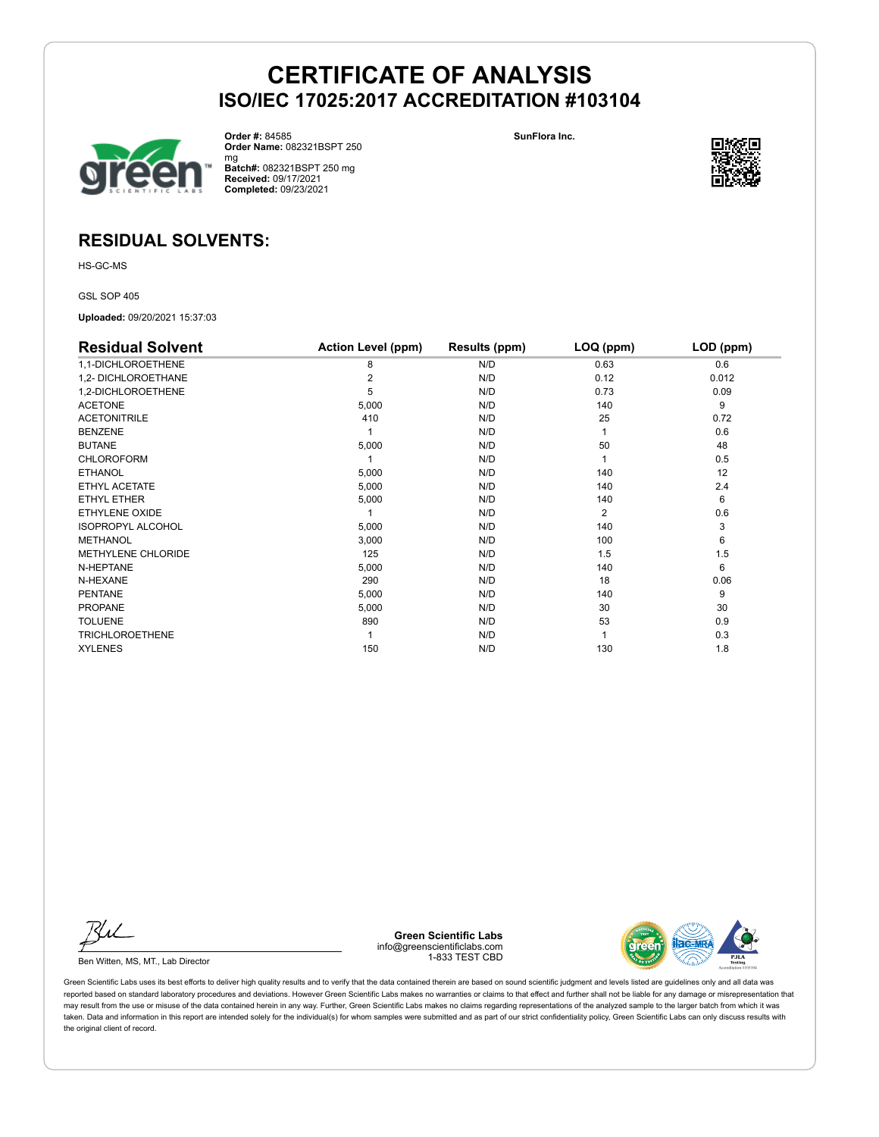

**Order #:** 84585 **Order Name:** 082321BSPT 250 **SunFlora Inc.**



mg **Batch#:** 082321BSPT 250 mg **Received:** 09/17/2021 **Completed:** 09/23/2021

# **RESIDUAL SOLVENTS:**

HS-GC-MS

GSL SOP 405

**Uploaded:** 09/20/2021 15:37:03

| <b>Residual Solvent</b>  | <b>Action Level (ppm)</b> | Results (ppm) | LOQ (ppm)      | LOD (ppm) |
|--------------------------|---------------------------|---------------|----------------|-----------|
| 1,1-DICHLOROETHENE       | 8                         | N/D           | 0.63           | 0.6       |
| 1,2- DICHLOROETHANE      |                           | N/D           | 0.12           | 0.012     |
| 1,2-DICHLOROETHENE       | 5                         | N/D           | 0.73           | 0.09      |
| <b>ACETONE</b>           | 5,000                     | N/D           | 140            | 9         |
| <b>ACETONITRILE</b>      | 410                       | N/D           | 25             | 0.72      |
| <b>BENZENE</b>           |                           | N/D           |                | 0.6       |
| <b>BUTANE</b>            | 5,000                     | N/D           | 50             | 48        |
| <b>CHLOROFORM</b>        |                           | N/D           |                | 0.5       |
| <b>ETHANOL</b>           | 5,000                     | N/D           | 140            | 12        |
| ETHYL ACETATE            | 5,000                     | N/D           | 140            | 2.4       |
| ETHYL ETHER              | 5,000                     | N/D           | 140            | 6         |
| ETHYLENE OXIDE           |                           | N/D           | $\overline{2}$ | 0.6       |
| <b>ISOPROPYL ALCOHOL</b> | 5,000                     | N/D           | 140            | 3         |
| <b>METHANOL</b>          | 3,000                     | N/D           | 100            | 6         |
| METHYLENE CHLORIDE       | 125                       | N/D           | 1.5            | 1.5       |
| N-HEPTANE                | 5,000                     | N/D           | 140            | 6         |
| N-HEXANE                 | 290                       | N/D           | 18             | 0.06      |
| <b>PENTANE</b>           | 5,000                     | N/D           | 140            | 9         |
| <b>PROPANE</b>           | 5,000                     | N/D           | 30             | 30        |
| <b>TOLUENE</b>           | 890                       | N/D           | 53             | 0.9       |
| <b>TRICHLOROETHENE</b>   |                           | N/D           |                | 0.3       |
| <b>XYLENES</b>           | 150                       | N/D           | 130            | 1.8       |

Ku

Ben Witten, MS, MT., Lab Director

**Green Scientific Labs** info@greenscientificlabs.com 1-833 TEST CBD

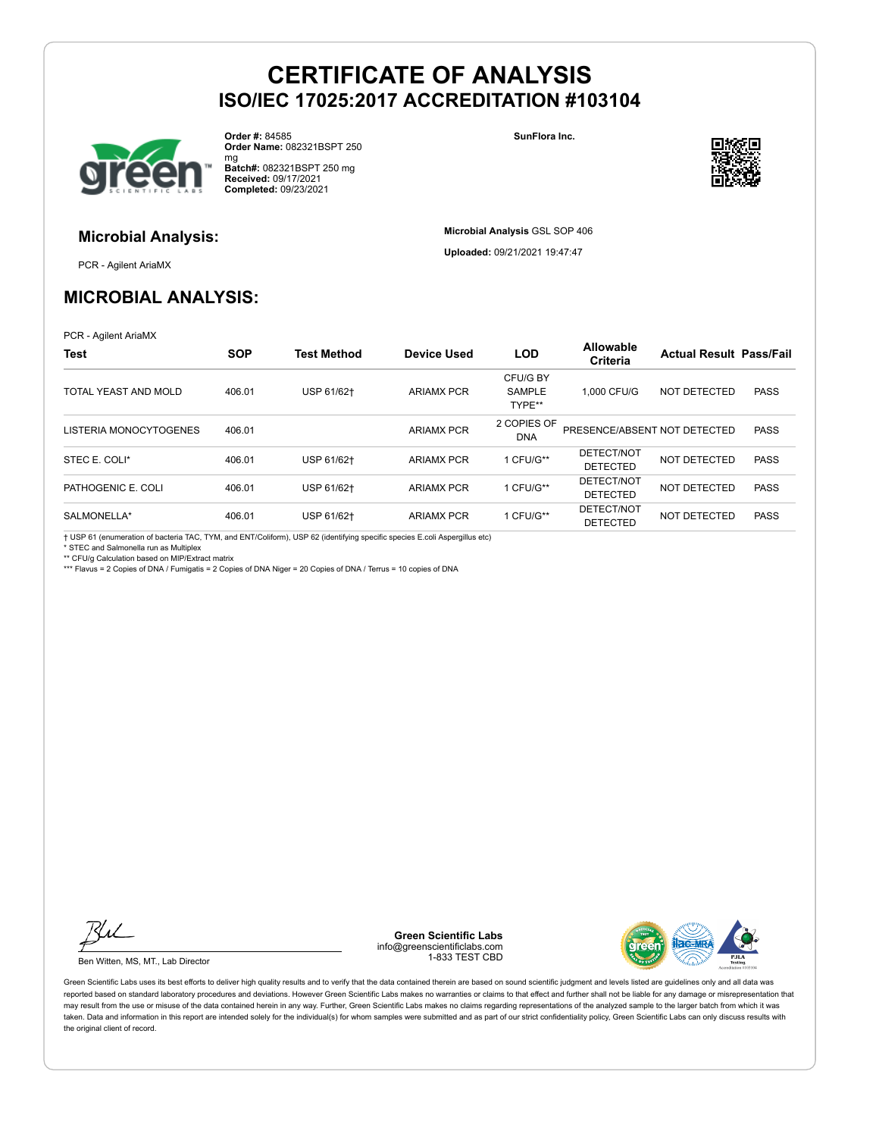

**Microbial Analysis:**

**Order #:** 84585 **Order Name:** 082321BSPT 250 **SunFlora Inc.**

**Microbial Analysis** GSL SOP 406 **Uploaded:** 09/21/2021 19:47:47



mg **Batch#:** 082321BSPT 250 mg **Received:** 09/17/2021 **Completed:** 09/23/2021

PCR - Agilent AriaMX

# **MICROBIAL ANALYSIS:**

PCR - Agilent AriaMX

| <b>Test</b>            | <b>SOP</b> | <b>Test Method</b> | <b>Device Used</b> | <b>LOD</b>                          | <b>Allowable</b><br><b>Criteria</b> | <b>Actual Result Pass/Fail</b> |             |
|------------------------|------------|--------------------|--------------------|-------------------------------------|-------------------------------------|--------------------------------|-------------|
| TOTAL YEAST AND MOLD   | 406.01     | USP 61/62+         | <b>ARIAMX PCR</b>  | CFU/G BY<br><b>SAMPLE</b><br>TYPE** | 1.000 CFU/G                         | NOT DETECTED                   | <b>PASS</b> |
| LISTERIA MONOCYTOGENES | 406.01     |                    | <b>ARIAMX PCR</b>  | 2 COPIES OF<br><b>DNA</b>           | PRESENCE/ABSENT NOT DETECTED        |                                | <b>PASS</b> |
| STEC E. COLI*          | 406.01     | USP 61/62+         | <b>ARIAMX PCR</b>  | 1 CFU/G**                           | DETECT/NOT<br><b>DETECTED</b>       | NOT DETECTED                   | <b>PASS</b> |
| PATHOGENIC E. COLI     | 406.01     | USP 61/62+         | <b>ARIAMX PCR</b>  | 1 CFU/G**                           | DETECT/NOT<br><b>DETECTED</b>       | NOT DETECTED                   | <b>PASS</b> |
| SALMONELLA*            | 406.01     | USP 61/62+         | <b>ARIAMX PCR</b>  | 1 CFU/G**                           | DETECT/NOT<br><b>DETECTED</b>       | NOT DETECTED                   | <b>PASS</b> |

† USP 61 (enumeration of bacteria TAC, TYM, and ENT/Coliform), USP 62 (identifying specific species E.coli Aspergillus etc)

\* STEC and Salmonella run as Multiplex

\*\* CFU/g Calculation based on MIP/Extract matrix

\*\*\* Flavus = 2 Copies of DNA / Fumigatis = 2 Copies of DNA Niger = 20 Copies of DNA / Terrus = 10 copies of DNA

Ku

Ben Witten, MS, MT., Lab Director

**Green Scientific Labs** info@greenscientificlabs.com 1-833 TEST CBD